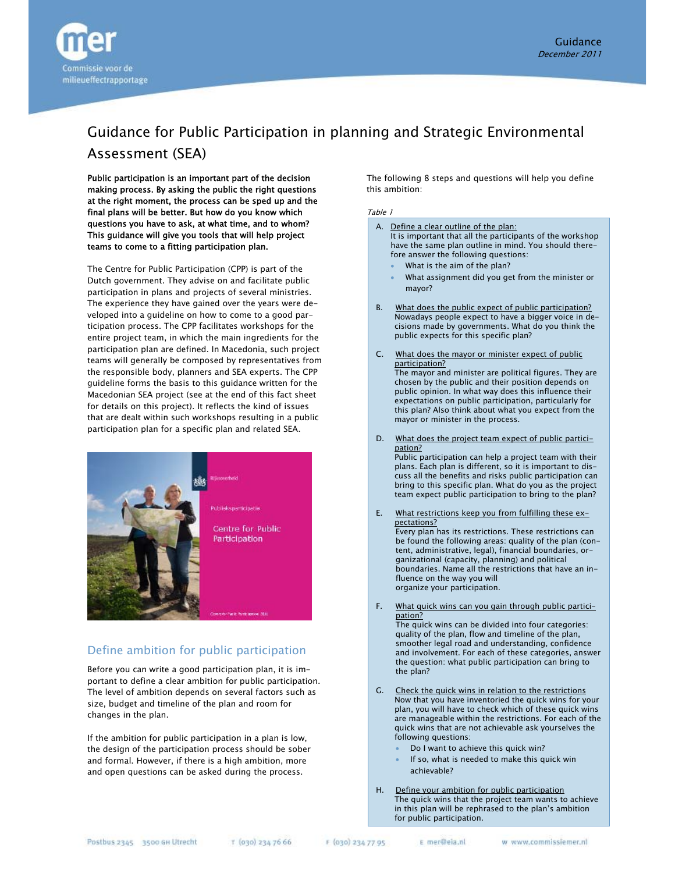

# Guidance for Public Participation in planning and Strategic Environmental Assessment (SEA)

Public participation is an important part of the decision making process. By asking the public the right questions at the right moment, the process can be sped up and the final plans will be better. But how do you know which questions you have to ask, at what time, and to whom? This guidance will give you tools that will help project teams to come to a fitting participation plan.

The Centre for Public Participation (CPP) is part of the Dutch government. They advise on and facilitate public participation in plans and projects of several ministries. The experience they have gained over the years were developed into a guideline on how to come to a good participation process. The CPP facilitates workshops for the entire project team, in which the main ingredients for the participation plan are defined. In Macedonia, such project teams will generally be composed by representatives from the responsible body, planners and SEA experts. The CPP guideline forms the basis to this guidance written for the Macedonian SEA project (see at the end of this fact sheet for details on this project). It reflects the kind of issues that are dealt within such workshops resulting in a public participation plan for a specific plan and related SEA.



### Define ambition for public participation

Before you can write a good participation plan, it is important to define a clear ambition for public participation. The level of ambition depends on several factors such as size, budget and timeline of the plan and room for changes in the plan.

If the ambition for public participation in a plan is low, the design of the participation process should be sober and formal. However, if there is a high ambition, more and open questions can be asked during the process.

The following 8 steps and questions will help you define this ambition:

#### Table 1

|              | A. Define a clear outline of the plan:<br>It is important that all the participants of the workshop<br>have the same plan outline in mind. You should there-<br>fore answer the following questions:<br>What is the aim of the plan?<br>What assignment did you get from the minister or<br>mayor?                                                                                                 |
|--------------|----------------------------------------------------------------------------------------------------------------------------------------------------------------------------------------------------------------------------------------------------------------------------------------------------------------------------------------------------------------------------------------------------|
| <b>B.</b>    | What does the public expect of public participation?<br>Nowadays people expect to have a bigger voice in de-<br>cisions made by governments. What do you think the<br>public expects for this specific plan?                                                                                                                                                                                       |
| $\mathsf{C}$ | What does the mayor or minister expect of public<br>participation?<br>The mayor and minister are political figures. They are<br>chosen by the public and their position depends on<br>public opinion. In what way does this influence their<br>expectations on public participation, particularly for<br>this plan? Also think about what you expect from the<br>mayor or minister in the process. |
| D.           | What does the project team expect of public partici-<br>pation?                                                                                                                                                                                                                                                                                                                                    |

Public participation can help a project team with their plans. Each plan is different, so it is important to discuss all the benefits and risks public participation can bring to this specific plan. What do you as the project team expect public participation to bring to the plan?

- E. What restrictions keep you from fulfilling these expectations? Every plan has its restrictions. These restrictions can be found the following areas: quality of the plan (content, administrative, legal), financial boundaries, organizational (capacity, planning) and political boundaries. Name all the restrictions that have an influence on the way you will organize your participation.
- F. What quick wins can you gain through public participation?

The quick wins can be divided into four categories: quality of the plan, flow and timeline of the plan, smoother legal road and understanding, confidence and involvement. For each of these categories, answer the question: what public participation can bring to the plan?

- G. Check the quick wins in relation to the restrictions Now that you have inventoried the quick wins for your plan, you will have to check which of these quick wins are manageable within the restrictions. For each of the quick wins that are not achievable ask yourselves the following questions:
	- Do I want to achieve this quick win?
	- If so, what is needed to make this quick win achievable?
- H. Define your ambition for public participation The quick wins that the project team wants to achieve in this plan will be rephrased to the plan's ambition for public participation.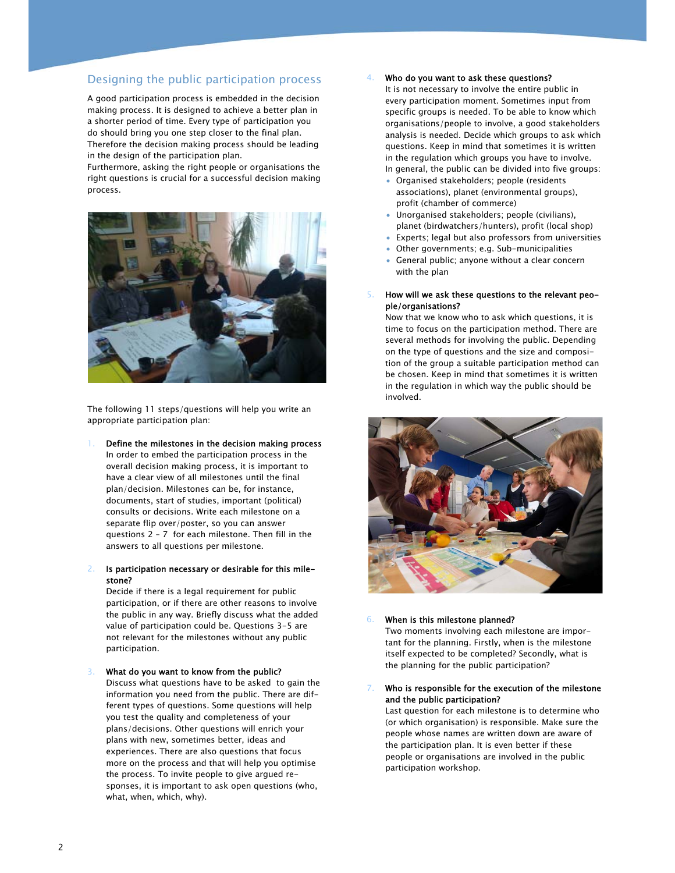### Designing the public participation process

A good participation process is embedded in the decision making process. It is designed to achieve a better plan in a shorter period of time. Every type of participation you do should bring you one step closer to the final plan. Therefore the decision making process should be leading in the design of the participation plan.

Furthermore, asking the right people or organisations the right questions is crucial for a successful decision making process.



The following 11 steps/questions will help you write an appropriate participation plan:

- 1. Define the milestones in the decision making process In order to embed the participation process in the overall decision making process, it is important to have a clear view of all milestones until the final plan/decision. Milestones can be, for instance, documents, start of studies, important (political) consults or decisions. Write each milestone on a separate flip over/poster, so you can answer questions 2 – 7 for each milestone. Then fill in the answers to all questions per milestone.
- 2. Is participation necessary or desirable for this milestone?

Decide if there is a legal requirement for public participation, or if there are other reasons to involve the public in any way. Briefly discuss what the added value of participation could be. Questions 3-5 are not relevant for the milestones without any public participation.

### 3. What do you want to know from the public?

Discuss what questions have to be asked to gain the information you need from the public. There are different types of questions. Some questions will help you test the quality and completeness of your plans/decisions. Other questions will enrich your plans with new, sometimes better, ideas and experiences. There are also questions that focus more on the process and that will help you optimise the process. To invite people to give argued responses, it is important to ask open questions (who, what, when, which, why).

#### Who do you want to ask these questions?

It is not necessary to involve the entire public in every participation moment. Sometimes input from specific groups is needed. To be able to know which organisations/people to involve, a good stakeholders analysis is needed. Decide which groups to ask which questions. Keep in mind that sometimes it is written in the regulation which groups you have to involve.

- In general, the public can be divided into five groups:
- Organised stakeholders; people (residents associations), planet (environmental groups), profit (chamber of commerce)
- Unorganised stakeholders; people (civilians), planet (birdwatchers/hunters), profit (local shop)
- Experts; legal but also professors from universities
- Other governments; e.g. Sub-municipalities
- General public; anyone without a clear concern with the plan
- 5. How will we ask these questions to the relevant people/organisations?

Now that we know who to ask which questions, it is time to focus on the participation method. There are several methods for involving the public. Depending on the type of questions and the size and composition of the group a suitable participation method can be chosen. Keep in mind that sometimes it is written in the regulation in which way the public should be involved.



#### 6. When is this milestone planned?

Two moments involving each milestone are important for the planning. Firstly, when is the milestone itself expected to be completed? Secondly, what is the planning for the public participation?

#### Who is responsible for the execution of the milestone and the public participation?

Last question for each milestone is to determine who (or which organisation) is responsible. Make sure the people whose names are written down are aware of the participation plan. It is even better if these people or organisations are involved in the public participation workshop.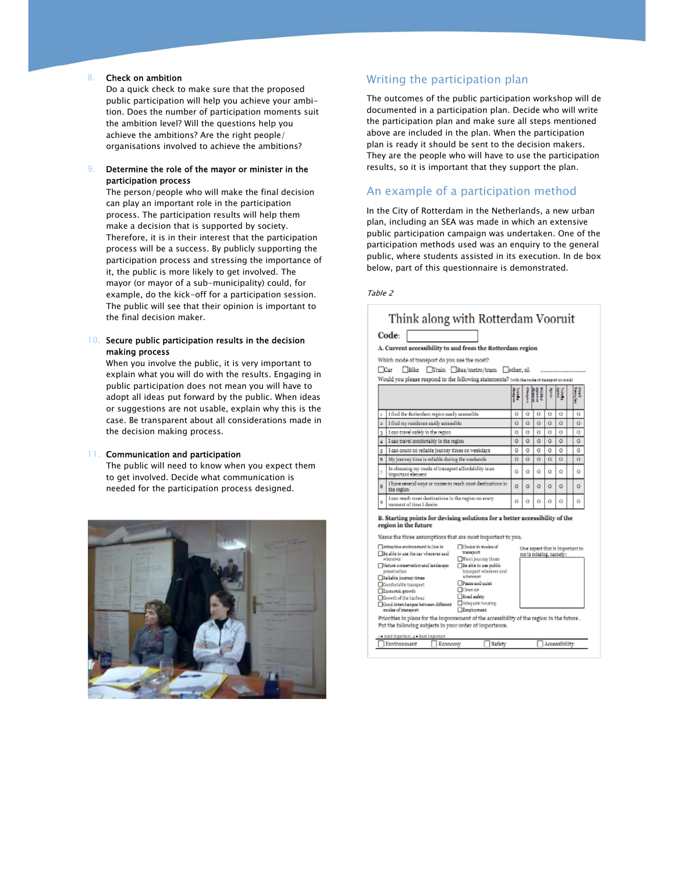#### 8. Check on ambition

Do a quick check to make sure that the proposed public participation will help you achieve your ambition. Does the number of participation moments suit the ambition level? Will the questions help you achieve the ambitions? Are the right people/ organisations involved to achieve the ambitions?

### 9. Determine the role of the mayor or minister in the participation process

The person/people who will make the final decision can play an important role in the participation process. The participation results will help them make a decision that is supported by society. Therefore, it is in their interest that the participation process will be a success. By publicly supporting the participation process and stressing the importance of it, the public is more likely to get involved. The mayor (or mayor of a sub-municipality) could, for example, do the kick-off for a participation session. The public will see that their opinion is important to the final decision maker.

### 10. Secure public participation results in the decision making process

When you involve the public, it is very important to explain what you will do with the results. Engaging in public participation does not mean you will have to adopt all ideas put forward by the public. When ideas or suggestions are not usable, explain why this is the case. Be transparent about all considerations made in the decision making process.

#### 11. Communication and participation

The public will need to know when you expect them to get involved. Decide what communication is needed for the participation process designed.



### Writing the participation plan

The outcomes of the public participation workshop will de documented in a participation plan. Decide who will write the participation plan and make sure all steps mentioned above are included in the plan. When the participation plan is ready it should be sent to the decision makers. They are the people who will have to use the participation results, so it is important that they support the plan.

### An example of a participation method

In the City of Rotterdam in the Netherlands, a new urban plan, including an SEA was made in which an extensive public participation campaign was undertaken. One of the participation methods used was an enquiry to the general public, where students assisted in its execution. In de box below, part of this questionnaire is demonstrated.

#### Table 2

|   | Code:                                                                                                                                                                                                                                                                                                                                                                                                                                                                                              |        |   |                        |   |                                 |   |  |
|---|----------------------------------------------------------------------------------------------------------------------------------------------------------------------------------------------------------------------------------------------------------------------------------------------------------------------------------------------------------------------------------------------------------------------------------------------------------------------------------------------------|--------|---|------------------------|---|---------------------------------|---|--|
|   | A. Current accessibility to and from the Rotterdam region                                                                                                                                                                                                                                                                                                                                                                                                                                          |        |   |                        |   |                                 |   |  |
|   | Which mode of transport do you use the most?                                                                                                                                                                                                                                                                                                                                                                                                                                                       |        |   |                        |   |                                 |   |  |
|   | $\Box$ Bike<br>Train Bus/metro/tram other, al.<br>⊟Car                                                                                                                                                                                                                                                                                                                                                                                                                                             |        |   |                        |   |                                 |   |  |
|   |                                                                                                                                                                                                                                                                                                                                                                                                                                                                                                    |        |   |                        |   |                                 |   |  |
|   | Would you please respond to the following statements? (witch mode of transport in mind)                                                                                                                                                                                                                                                                                                                                                                                                            |        |   |                        |   |                                 |   |  |
|   |                                                                                                                                                                                                                                                                                                                                                                                                                                                                                                    | a Gany | i | R                      | Í | Ħ                               | ŧ |  |
| ä | I find the Rotterdam region easily accessible                                                                                                                                                                                                                                                                                                                                                                                                                                                      | ō      | ō | ū                      | a | a                               | ō |  |
| ż | I find my residence easily accessible                                                                                                                                                                                                                                                                                                                                                                                                                                                              | ō      | ō | a                      | ā | a                               | ō |  |
| з | I can travel safely in the region                                                                                                                                                                                                                                                                                                                                                                                                                                                                  | o      | o | a                      | a | a                               | o |  |
| ۷ | I can travel comfortably in the region                                                                                                                                                                                                                                                                                                                                                                                                                                                             | ō      | ō | ō                      | ō | ٥                               | o |  |
| 5 | I can count on reliable journey times on weekdays                                                                                                                                                                                                                                                                                                                                                                                                                                                  | ٥      | ٥ | ٥                      | ٥ | ٥                               | ٥ |  |
| 6 | My journey time is reliable during the weekends                                                                                                                                                                                                                                                                                                                                                                                                                                                    | ō      | ō | ō                      | a | a                               | a |  |
| ÿ | In choosing my mode of transport affordability is an<br>important element                                                                                                                                                                                                                                                                                                                                                                                                                          | ۵      | ٥ | ٥                      | ō | o                               | ٥ |  |
| B | I have several ways or routes to reach most destinations in<br>the region                                                                                                                                                                                                                                                                                                                                                                                                                          | ō      | ō | a                      | ٥ | ٥                               | o |  |
| ù | I can reach most destinations in the region on every<br>noment of time I desire                                                                                                                                                                                                                                                                                                                                                                                                                    | ō      | ō | ō                      | a | o                               | ō |  |
|   | region in the future<br>Name the three assumptions that are most important to you.<br>Attractive environment to live in<br>Choice in masks of<br>transport<br>Be also to use the car wherever and<br><b>A RETICHED</b><br>Short journey times<br>Nature conservation and landscape<br>Be able to use public<br>transport wherever and<br>preservation<br><b>STRONG</b><br>Balishle journey times<br>Peace and quiet<br>Comfortable transport<br>Clean air<br><b>Research growth</b><br>Road safety |        |   | me is missing, namely: |   | One aspect that is important to |   |  |
|   | Cowth of the harbour<br><b>Megaste hoosing</b><br>Cood interchanges between different<br>Employment<br>rades of transport<br>Priorities in plans for the improvement of the accessibility of the region in the future .                                                                                                                                                                                                                                                                            |        |   |                        |   |                                 |   |  |